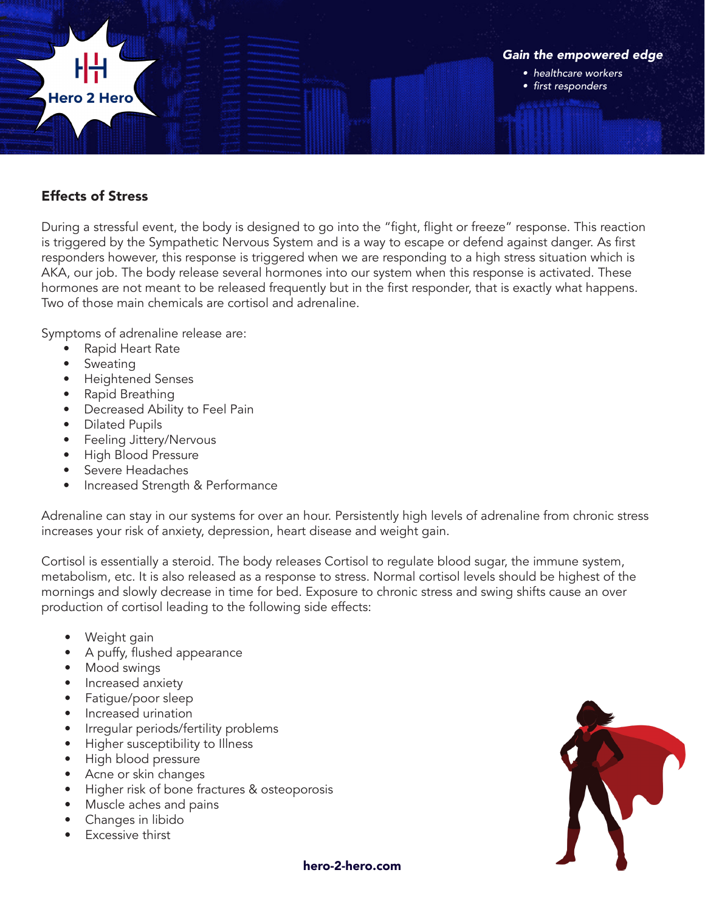

## Effects of Stress

During a stressful event, the body is designed to go into the "fight, flight or freeze" response. This reaction is triggered by the Sympathetic Nervous System and is a way to escape or defend against danger. As first responders however, this response is triggered when we are responding to a high stress situation which is AKA, our job. The body release several hormones into our system when this response is activated. These hormones are not meant to be released frequently but in the first responder, that is exactly what happens. Two of those main chemicals are cortisol and adrenaline.

Symptoms of adrenaline release are:

- Rapid Heart Rate
- Sweating
- Heightened Senses
- Rapid Breathing
- Decreased Ability to Feel Pain
- Dilated Pupils
- Feeling Jittery/Nervous
- High Blood Pressure
- Severe Headaches
- Increased Strength & Performance

Adrenaline can stay in our systems for over an hour. Persistently high levels of adrenaline from chronic stress increases your risk of anxiety, depression, heart disease and weight gain.

Cortisol is essentially a steroid. The body releases Cortisol to regulate blood sugar, the immune system, metabolism, etc. It is also released as a response to stress. Normal cortisol levels should be highest of the mornings and slowly decrease in time for bed. Exposure to chronic stress and swing shifts cause an over production of cortisol leading to the following side effects:

- Weight gain
- A puffy, flushed appearance
- Mood swings
- Increased anxiety
- Fatigue/poor sleep
- Increased urination
- Irregular periods/fertility problems
- Higher susceptibility to Illness
- High blood pressure
- Acne or skin changes
- Higher risk of bone fractures & osteoporosis
- Muscle aches and pains
- Changes in libido
- **Excessive thirst**